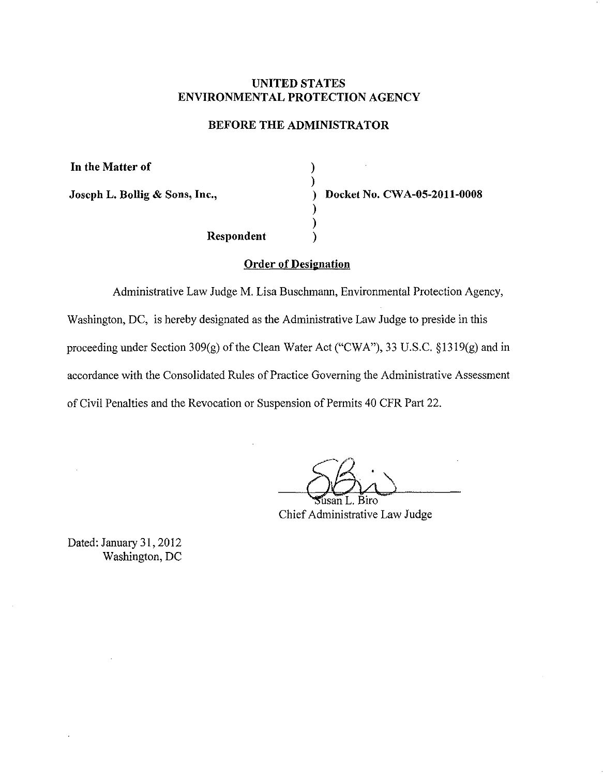## **UNITED STATES ENVIRONMENTAL PROTECTION AGENCY**

## **BEFORE THE ADMINISTRATOR**

) )

> ) )

**In the Matter of** 

**Joseph L. Bollig & Sons, Inc.,** ) **Docket** No. **CW A-05-2011-0008** 

**Respondent** )

## **Order of Designation**

Administrative Law Judge M. Lisa Buschmann, Environmental Protection Agency, Washington, DC, is hereby designated as the Administrative Law Judge to preside in this proceeding under Section 309(g) of the Clean Water Act ("CWA"), 33 U.S.C. §1319(g) and in accordance with the Consolidated Rules of Practice Governing the Administrative Assessment of Civil Penalties and the Revocation or Suspension of Permits 40 CFR Part 22.

Biro Chief Administrative Law Judge

Dated: January 31,2012 Washington, DC